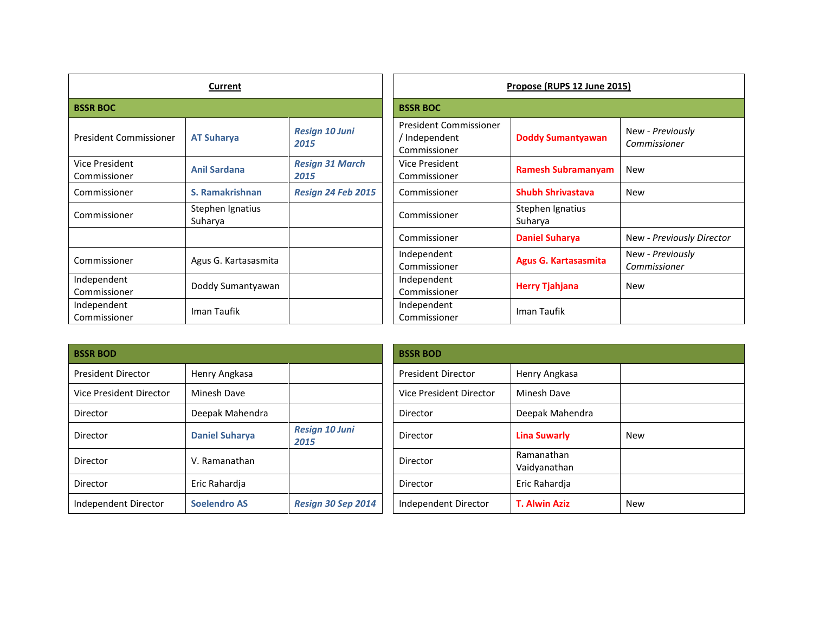| Current                        |                             |                                | Propose (RUPS 12 June 2015)                                    |                             |                                  |
|--------------------------------|-----------------------------|--------------------------------|----------------------------------------------------------------|-----------------------------|----------------------------------|
| <b>BSSR BOC</b>                |                             |                                | <b>BSSR BOC</b>                                                |                             |                                  |
| <b>President Commissioner</b>  | <b>AT Suharya</b>           | <b>Resign 10 Juni</b><br>2015  | <b>President Commissioner</b><br>/ Independent<br>Commissioner | <b>Doddy Sumantyawan</b>    | New - Previously<br>Commissioner |
| Vice President<br>Commissioner | <b>Anil Sardana</b>         | <b>Resign 31 March</b><br>2015 | Vice President<br>Commissioner                                 | <b>Ramesh Subramanyam</b>   | <b>New</b>                       |
| Commissioner                   | S. Ramakrishnan             | Resign 24 Feb 2015             | Commissioner                                                   | <b>Shubh Shrivastava</b>    | <b>New</b>                       |
| Commissioner                   | Stephen Ignatius<br>Suharya |                                | Commissioner                                                   | Stephen Ignatius<br>Suharya |                                  |
|                                |                             |                                | Commissioner                                                   | <b>Daniel Suharya</b>       | New - Previously Director        |
| Commissioner                   | Agus G. Kartasasmita        |                                | Independent<br>Commissioner                                    | <b>Agus G. Kartasasmita</b> | New - Previously<br>Commissioner |
| Independent<br>Commissioner    | Doddy Sumantyawan           |                                | Independent<br>Commissioner                                    | <b>Herry Tjahjana</b>       | <b>New</b>                       |
| Independent<br>Commissioner    | Iman Taufik                 |                                | Independent<br>Commissioner                                    | Iman Taufik                 |                                  |

| <b>BSSR BOD</b>           |                       |                               | <b>BSSR BOD</b>           |                            |
|---------------------------|-----------------------|-------------------------------|---------------------------|----------------------------|
| <b>President Director</b> | Henry Angkasa         |                               | <b>President Director</b> | Henry Angkasa              |
| Vice President Director   | Minesh Dave           |                               | Vice President Director   | <b>Minesh Dave</b>         |
| Director                  | Deepak Mahendra       |                               | Director                  | Deepak Mahendra            |
| Director                  | <b>Daniel Suharya</b> | <b>Resign 10 Juni</b><br>2015 | Director                  | <b>Lina Suwarly</b>        |
| Director                  | V. Ramanathan         |                               | Director                  | Ramanathan<br>Vaidyanathan |
| Director                  | Eric Rahardja         |                               | Director                  | Eric Rahardja              |
| Independent Director      | <b>Soelendro AS</b>   | Resign 30 Sep 2014            | Independent Director      | <b>T. Alwin Aziz</b>       |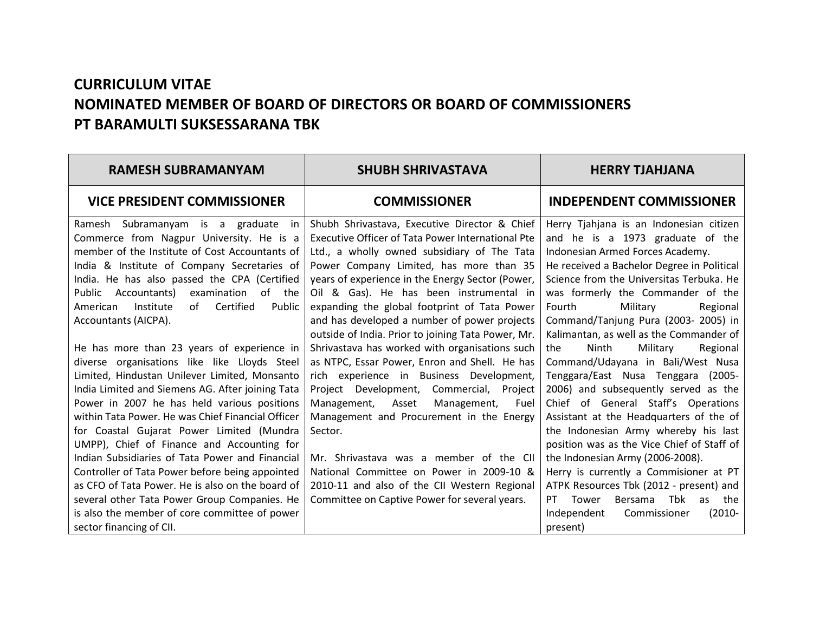## **CURRICULUM VITAE NOMINATED MEMBER OF BOARD OF DIRECTORS OR BOARD OF COMMISSIONERS PT BARAMULTI SUKSESSARANA TBK**

| <b>RAMESH SUBRAMANYAM</b>                                                                                                                                                                                                                                                                                                                                                                                                                                                                                                                                                                                                                                                             | <b>SHUBH SHRIVASTAVA</b>                                                                                                                                                                                                                                                                                                                                                                                                                                                                                                                    | <b>HERRY TJAHJANA</b>                                                                                                                                                                                                                                                                                                                                                                                                                                                                                                                                                                                   |
|---------------------------------------------------------------------------------------------------------------------------------------------------------------------------------------------------------------------------------------------------------------------------------------------------------------------------------------------------------------------------------------------------------------------------------------------------------------------------------------------------------------------------------------------------------------------------------------------------------------------------------------------------------------------------------------|---------------------------------------------------------------------------------------------------------------------------------------------------------------------------------------------------------------------------------------------------------------------------------------------------------------------------------------------------------------------------------------------------------------------------------------------------------------------------------------------------------------------------------------------|---------------------------------------------------------------------------------------------------------------------------------------------------------------------------------------------------------------------------------------------------------------------------------------------------------------------------------------------------------------------------------------------------------------------------------------------------------------------------------------------------------------------------------------------------------------------------------------------------------|
| <b>VICE PRESIDENT COMMISSIONER</b>                                                                                                                                                                                                                                                                                                                                                                                                                                                                                                                                                                                                                                                    | <b>COMMISSIONER</b>                                                                                                                                                                                                                                                                                                                                                                                                                                                                                                                         | <b>INDEPENDENT COMMISSIONER</b>                                                                                                                                                                                                                                                                                                                                                                                                                                                                                                                                                                         |
| Ramesh Subramanyam is a graduate<br>- in<br>Commerce from Nagpur University. He is a<br>member of the Institute of Cost Accountants of<br>India & Institute of Company Secretaries of<br>India. He has also passed the CPA (Certified<br>of the<br>Public<br>Accountants)<br>examination<br>Institute<br>Certified<br>of<br>Public<br>American<br>Accountants (AICPA).                                                                                                                                                                                                                                                                                                                | Shubh Shrivastava, Executive Director & Chief<br><b>Executive Officer of Tata Power International Pte</b><br>Ltd., a wholly owned subsidiary of The Tata<br>Power Company Limited, has more than 35<br>years of experience in the Energy Sector (Power,<br>Oil & Gas). He has been instrumental in<br>expanding the global footprint of Tata Power<br>and has developed a number of power projects                                                                                                                                          | Herry Tjahjana is an Indonesian citizen<br>and he is a 1973 graduate of the<br>Indonesian Armed Forces Academy.<br>He received a Bachelor Degree in Political<br>Science from the Universitas Terbuka. He<br>was formerly the Commander of the<br>Military<br>Fourth<br>Regional<br>Command/Tanjung Pura (2003-2005) in                                                                                                                                                                                                                                                                                 |
| He has more than 23 years of experience in<br>diverse organisations like like Lloyds Steel<br>Limited, Hindustan Unilever Limited, Monsanto<br>India Limited and Siemens AG. After joining Tata<br>Power in 2007 he has held various positions<br>within Tata Power. He was Chief Financial Officer<br>for Coastal Gujarat Power Limited (Mundra<br>UMPP), Chief of Finance and Accounting for<br>Indian Subsidiaries of Tata Power and Financial<br>Controller of Tata Power before being appointed<br>as CFO of Tata Power. He is also on the board of<br>several other Tata Power Group Companies. He<br>is also the member of core committee of power<br>sector financing of CII. | outside of India. Prior to joining Tata Power, Mr.<br>Shrivastava has worked with organisations such<br>as NTPC, Essar Power, Enron and Shell. He has<br>rich experience in Business Development,<br>Project Development, Commercial, Project<br>Management,<br>Asset<br>Management,<br>Fuel<br>Management and Procurement in the Energy<br>Sector.<br>Mr. Shrivastava was a member of the CII<br>National Committee on Power in 2009-10 &<br>2010-11 and also of the CII Western Regional<br>Committee on Captive Power for several years. | Kalimantan, as well as the Commander of<br>Military<br>Ninth<br>Regional<br>the<br>Command/Udayana in Bali/West Nusa<br>Tenggara/East Nusa Tenggara (2005-<br>2006) and subsequently served as the<br>Chief of General Staff's Operations<br>Assistant at the Headquarters of the of<br>the Indonesian Army whereby his last<br>position was as the Vice Chief of Staff of<br>the Indonesian Army (2006-2008).<br>Herry is currently a Commisioner at PT<br>ATPK Resources Tbk (2012 - present) and<br>Bersama Tbk<br>Tower<br>PT.<br>the<br>as<br>Independent<br>$(2010 -$<br>Commissioner<br>present) |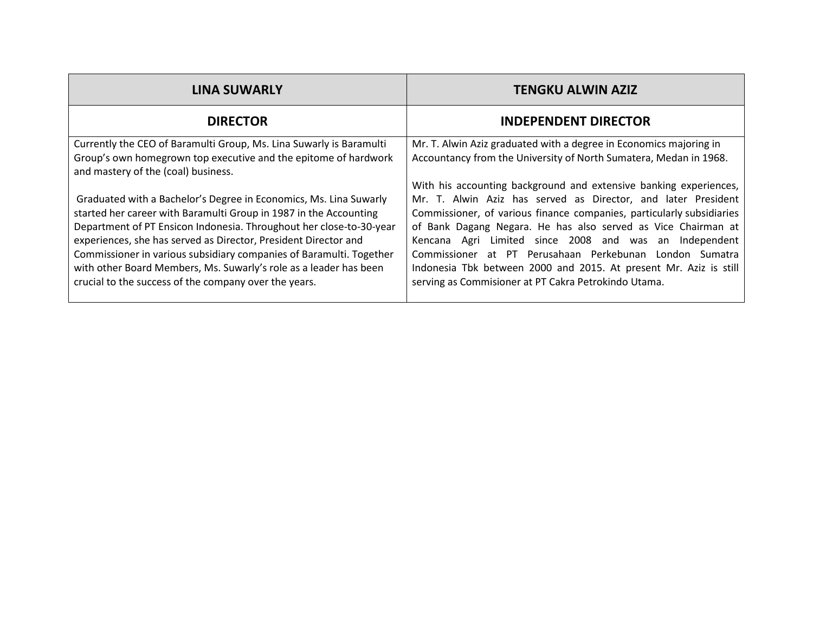| <b>LINA SUWARLY</b>                                                 | <b>TENGKU ALWIN AZIZ</b>                                              |
|---------------------------------------------------------------------|-----------------------------------------------------------------------|
| <b>DIRECTOR</b>                                                     | <b>INDEPENDENT DIRECTOR</b>                                           |
| Currently the CEO of Baramulti Group, Ms. Lina Suwarly is Baramulti | Mr. T. Alwin Aziz graduated with a degree in Economics majoring in    |
| Group's own homegrown top executive and the epitome of hardwork     | Accountancy from the University of North Sumatera, Medan in 1968.     |
| and mastery of the (coal) business.                                 | With his accounting background and extensive banking experiences,     |
| Graduated with a Bachelor's Degree in Economics, Ms. Lina Suwarly   | Mr. T. Alwin Aziz has served as Director, and later President         |
| started her career with Baramulti Group in 1987 in the Accounting   | Commissioner, of various finance companies, particularly subsidiaries |
| Department of PT Ensicon Indonesia. Throughout her close-to-30-year | of Bank Dagang Negara. He has also served as Vice Chairman at         |
| experiences, she has served as Director, President Director and     | Kencana Agri Limited since 2008 and was an Independent                |
| Commissioner in various subsidiary companies of Baramulti. Together | Commissioner at PT Perusahaan Perkebunan London Sumatra               |
| with other Board Members, Ms. Suwarly's role as a leader has been   | Indonesia Tbk between 2000 and 2015. At present Mr. Aziz is still     |
| crucial to the success of the company over the years.               | serving as Commisioner at PT Cakra Petrokindo Utama.                  |